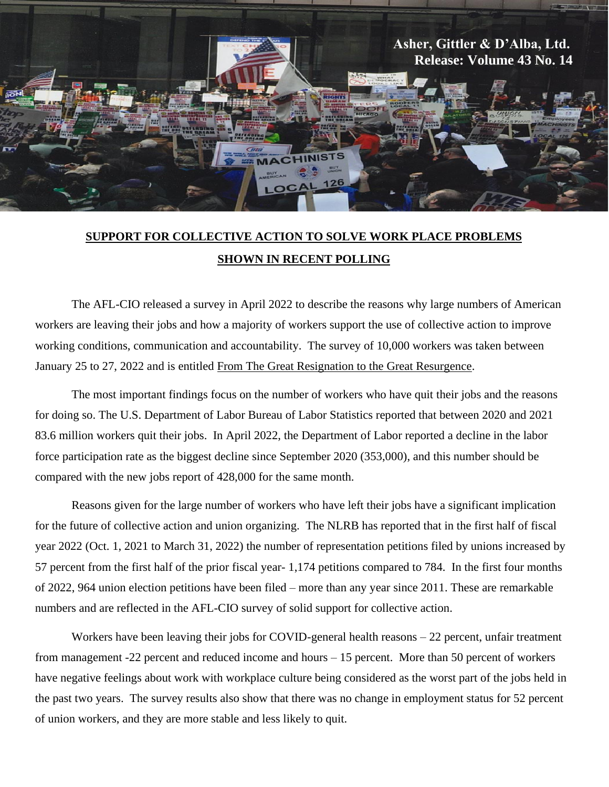

## **SUPPORT FOR COLLECTIVE ACTION TO SOLVE WORK PLACE PROBLEMS SHOWN IN RECENT POLLING**

The AFL-CIO released a survey in April 2022 to describe the reasons why large numbers of American workers are leaving their jobs and how a majority of workers support the use of collective action to improve working conditions, communication and accountability. The survey of 10,000 workers was taken between January 25 to 27, 2022 and is entitled From The Great Resignation to the Great Resurgence.

The most important findings focus on the number of workers who have quit their jobs and the reasons for doing so. The U.S. Department of Labor Bureau of Labor Statistics reported that between 2020 and 2021 83.6 million workers quit their jobs. In April 2022, the Department of Labor reported a decline in the labor force participation rate as the biggest decline since September 2020 (353,000), and this number should be compared with the new jobs report of 428,000 for the same month.

Reasons given for the large number of workers who have left their jobs have a significant implication for the future of collective action and union organizing. The NLRB has reported that in the first half of fiscal year 2022 (Oct. 1, 2021 to March 31, 2022) the number of representation petitions filed by unions increased by 57 percent from the first half of the prior fiscal year- 1,174 petitions compared to 784. In the first four months of 2022, 964 union election petitions have been filed – more than any year since 2011. These are remarkable numbers and are reflected in the AFL-CIO survey of solid support for collective action.

Workers have been leaving their jobs for COVID-general health reasons – 22 percent, unfair treatment from management -22 percent and reduced income and hours – 15 percent. More than 50 percent of workers have negative feelings about work with workplace culture being considered as the worst part of the jobs held in the past two years. The survey results also show that there was no change in employment status for 52 percent of union workers, and they are more stable and less likely to quit.